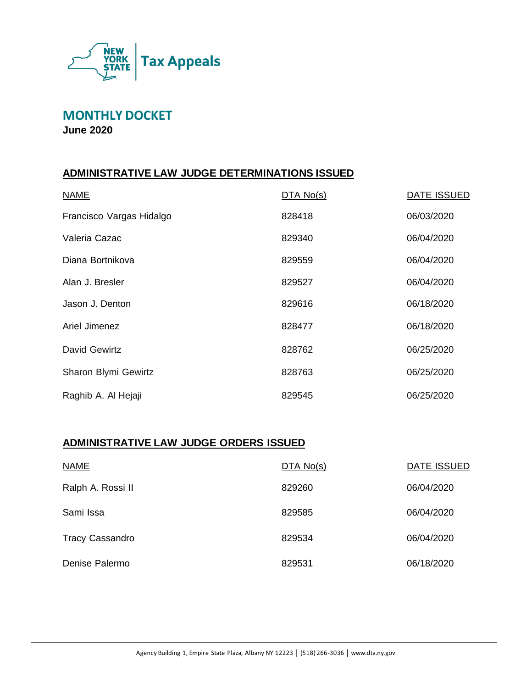

**MONTHLY DOCKET**

**June 2020**

### **ADMINISTRATIVE LAW JUDGE DETERMINATIONS ISSUED**

| <b>NAME</b>              | DTA No(s) | DATE ISSUED |
|--------------------------|-----------|-------------|
| Francisco Vargas Hidalgo | 828418    | 06/03/2020  |
| Valeria Cazac            | 829340    | 06/04/2020  |
| Diana Bortnikova         | 829559    | 06/04/2020  |
| Alan J. Bresler          | 829527    | 06/04/2020  |
| Jason J. Denton          | 829616    | 06/18/2020  |
| Ariel Jimenez            | 828477    | 06/18/2020  |
| David Gewirtz            | 828762    | 06/25/2020  |
| Sharon Blymi Gewirtz     | 828763    | 06/25/2020  |
| Raghib A. Al Hejaji      | 829545    | 06/25/2020  |

### **ADMINISTRATIVE LAW JUDGE ORDERS ISSUED**

| <b>NAME</b>            | DTA No(s) | DATE ISSUED |
|------------------------|-----------|-------------|
| Ralph A. Rossi II      | 829260    | 06/04/2020  |
| Sami Issa              | 829585    | 06/04/2020  |
| <b>Tracy Cassandro</b> | 829534    | 06/04/2020  |
| Denise Palermo         | 829531    | 06/18/2020  |